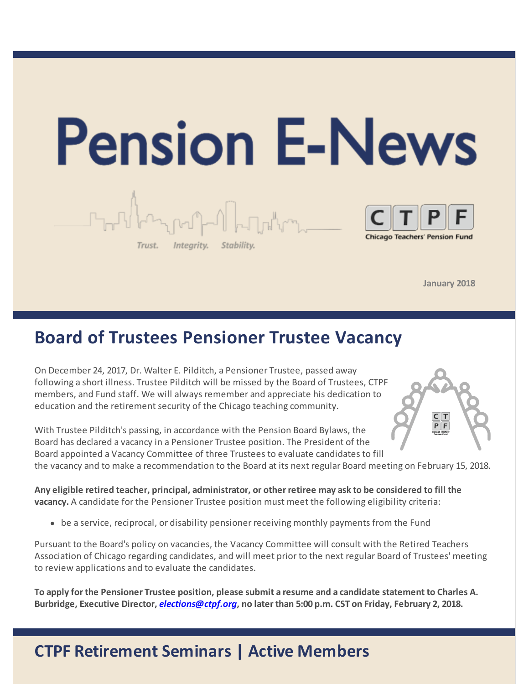

**January 2018**

# **Board of Trustees Pensioner Trustee Vacancy**

On December 24, 2017, Dr. Walter E. Pilditch, a Pensioner Trustee, passed away following a short illness. Trustee Pilditch will be missed by the Board of Trustees, CTPF members, and Fund staff. We will always remember and appreciate his dedication to education and the retirement security of the Chicago teaching community.

 $C$  T

With Trustee Pilditch's passing, in accordance with the Pension Board Bylaws, the Board has declared a vacancy in a Pensioner Trustee position. The President of the Board appointed a Vacancy Committee of three Trustees to evaluate candidates to fill the vacancy and to make a recommendation to the Board at its next regular Board meeting on February 15, 2018.

Any eligible retired teacher, principal, administrator, or other retiree may ask to be considered to fill the **vacancy.** A candidate for the Pensioner Trustee position must meet the following eligibility criteria:

be a service, reciprocal, or disability pensioner receiving monthly payments from the Fund

Pursuant to the Board's policy on vacancies, the Vacancy Committee will consult with the Retired Teachers Association of Chicago regarding candidates, and will meet prior to the next regular Board of Trustees' meeting to review applications and to evaluate the candidates.

To apply for the Pensioner Trustee position, please submit a resume and a candidate statement to Charles A. **Burbridge, Executive Director,** *[elections@ctpf.org](mailto:elections@ctpf.org)***, no later than 5:00 p.m. CST on Friday, February 2, 2018.**

# **CTPF Retirement Seminars | Active Members**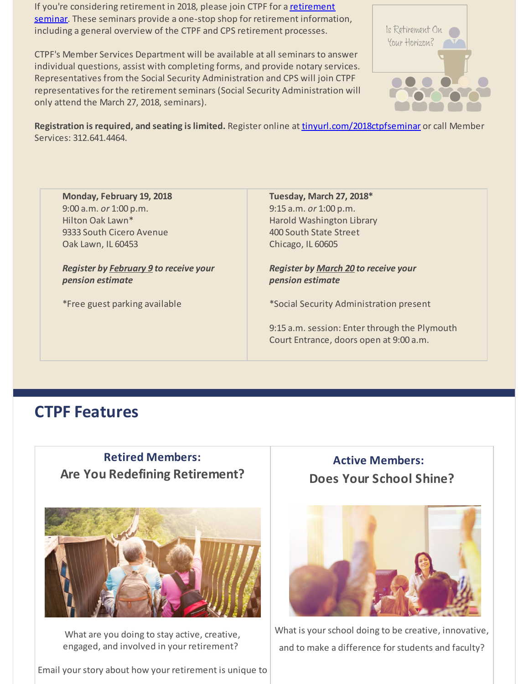If you're [considering](http://r20.rs6.net/tn.jsp?f=001thcwAT2ysvejaANcK9jfBdRWqx8T_4rKkasuGEXO0jxlFU9gvjRwKR5vapL1iE8PAqVL7YGJV76H_zrrMr4zeX4zz5Cq7TR8Cpn1lSxGLFoHlwaBDNlf3N2-742o1z_aU5COolvg6KNkVTevqyKW6krWEjnWMAQuPy_NqakWp86UkQcm_e-Y_DcObYJ4ofjJ&c=&ch=) retirement in 2018, please join CTPF for a retirement seminar. These seminars provide a one-stop shop for retirement information, including a general overview of the CTPF and CPS retirement processes.

CTPF's Member Services Department will be available at all seminars to answer individual questions, assist with completing forms, and provide notary services. Representatives from the Social Security Administration and CPS will join CTPF representatives for the retirement seminars (Social Security Administration will only attend the March 27, 2018, seminars).



**Registration is required, and seating is limited.** Register online at [tinyurl.com/2018ctpfseminar](http://r20.rs6.net/tn.jsp?f=001thcwAT2ysvejaANcK9jfBdRWqx8T_4rKkasuGEXO0jxlFU9gvjRwKR5vapL1iE8PAqVL7YGJV76H_zrrMr4zeX4zz5Cq7TR8Cpn1lSxGLFoHlwaBDNlf3N2-742o1z_aU5COolvg6KNkVTevqyKW6krWEjnWMAQuPy_NqakWp86UkQcm_e-Y_DcObYJ4ofjJ&c=&ch=) or call Member Services: 312.641.4464.

**Monday, February 19, 2018** 9:00 a.m. *or* 1:00 p.m. Hilton Oak Lawn\* 9333 South Cicero Avenue Oak Lawn, IL 60453

*Register by February 9 to receive your pension estimate*

\*Free guest parking available

**Tuesday, March 27, 2018\*** 9:15 a.m. *or* 1:00 p.m. Harold Washington Library 400 South State Street Chicago, IL 60605

*Register by March 20 to receive your pension estimate*

\*Social Security Administration present

9:15 a.m. session: Enter through the Plymouth Court Entrance, doors open at 9:00 a.m.

## **CTPF Features**

### **Retired Members: Are You Redefining Retirement?**



What are you doing to stay active, creative, engaged, and involved in your retirement?

Email yourstory about how your retirement is unique to

### **Active Members: Does Your School Shine?**



What is your school doing to be creative, innovative, and to make a difference for students and faculty?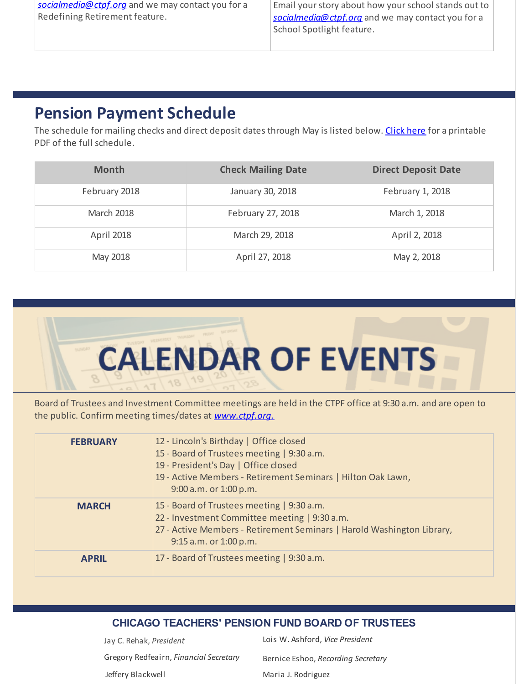| socialmedia@ctpf.org and we may contact you for a | Email your story about how your school stands out to |
|---------------------------------------------------|------------------------------------------------------|
| Redefining Retirement feature.                    | socialmedia@ctpf.org and we may contact you for a    |
|                                                   | School Spotlight feature.                            |

## **Pension Payment Schedule**

The schedule for mailing checks and direct deposit dates through May is listed below. [Click](http://r20.rs6.net/tn.jsp?f=001thcwAT2ysvejaANcK9jfBdRWqx8T_4rKkasuGEXO0jxlFU9gvjRwKZTtt_Y2VsH6ERYRmDiMD3ymxFtT-c7tGdZtB2FNUUaWOaBcnsRki0uNJaKzgX_onAd2EeKtK5NlV3HLbry0FvNAkbjy5xK0u9MpnW-ijxbx12tw4x8H0KEN_VdcZkKpdUT2uxIWsjznZ5xxEp5QOnlK3BpP7KmkFQ==&c=&ch=) here for a printable PDF of the full schedule.

| <b>Month</b>      | <b>Check Mailing Date</b> | <b>Direct Deposit Date</b> |
|-------------------|---------------------------|----------------------------|
| February 2018     | January 30, 2018          | February 1, 2018           |
| <b>March 2018</b> | February 27, 2018         | March 1, 2018              |
| April 2018        | March 29, 2018            | April 2, 2018              |
| May 2018          | April 27, 2018            | May 2, 2018                |



Board of Trustees and Investment Committee meetings are held in the CTPF office at 9:30 a.m. and are open to the public. Confirm meeting times/dates at *[www.ctpf.org.](http://r20.rs6.net/tn.jsp?f=001thcwAT2ysvejaANcK9jfBdRWqx8T_4rKkasuGEXO0jxlFU9gvjRwKfHhoIbBJ1L4U0IWs22ZA1YW4xNyWayqxuK8z4Xwj7-TM9Jo_fbO5bQfrpzTh_PjeYOzOEJ9JkFilk4TI55_NX9G6fQjuHOhq4vFDsDom3X9TFGzmpCDL_SA5WlWIeEBPR47NzrM7FW6AdGYfZyM10w=&c=&ch=)*

| <b>FEBRUARY</b> | 12 - Lincoln's Birthday   Office closed<br>15 - Board of Trustees meeting   9:30 a.m.<br>19 - President's Day   Office closed<br>19 - Active Members - Retirement Seminars   Hilton Oak Lawn,<br>9:00 a.m. or 1:00 p.m. |
|-----------------|-------------------------------------------------------------------------------------------------------------------------------------------------------------------------------------------------------------------------|
| <b>MARCH</b>    | 15 - Board of Trustees meeting   9:30 a.m.<br>22 - Investment Committee meeting   9:30 a.m.<br>27 - Active Members - Retirement Seminars   Harold Washington Library,<br>9:15 a.m. or 1:00 p.m.                         |
| <b>APRIL</b>    | 17 - Board of Trustees meeting   9:30 a.m.                                                                                                                                                                              |

#### **CHICAGO TEACHERS' PENSION FUND BOARD OF TRUSTEES**

Jay C. Rehak, *President* Lois W. Ashford, *Vice President* Gregory Redfeairn, *Financial Secretary* Bernice Eshoo, *Recording Secretary* Jeffery Blackwell **Maria J. Rodriguez** Maria J. Rodriguez